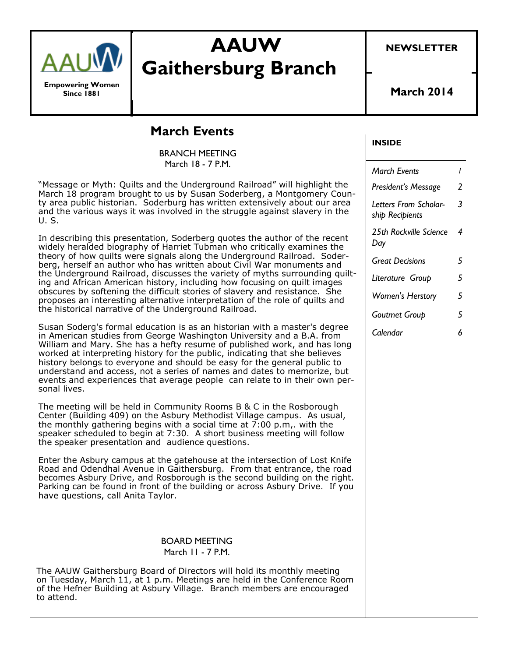

**Empowering Women Since 1881**

# **AAUW Gaithersburg Branch**

**NEWSLETTER**

**March 2014**

## **March Events**

BRANCH MEETING March 18 - 7 P.M.

"Message or Myth: Quilts and the Underground Railroad" will highlight the March 18 program brought to us by Susan Soderberg, a Montgomery County area public historian. Soderburg has written extensively about our area and the various ways it was involved in the struggle against slavery in the U. S.

In describing this presentation, Soderberg quotes the author of the recent widely heralded biography of Harriet Tubman who critically examines the theory of how quilts were signals along the Underground Railroad. Soderberg, herself an author who has written about Civil War monuments and the Underground Railroad, discusses the variety of myths surrounding quilting and African American history, including how focusing on quilt images obscures by softening the difficult stories of slavery and resistance. She proposes an interesting alternative interpretation of the role of quilts and the historical narrative of the Underground Railroad.

Susan Soderg's formal education is as an historian with a master's degree in American studies from George Washington University and a B.A. from William and Mary. She has a hefty resume of published work, and has long worked at interpreting history for the public, indicating that she believes history belongs to everyone and should be easy for the general public to understand and access, not a series of names and dates to memorize, but events and experiences that average people can relate to in their own personal lives.

The meeting will be held in Community Rooms B & C in the Rosborough Center (Building 409) on the Asbury Methodist Village campus. As usual, the monthly gathering begins with a social time at  $\overline{7:}00 \text{ p.m.}$  with the speaker scheduled to begin at 7:30. A short business meeting will follow the speaker presentation and audience questions.

Enter the Asbury campus at the gatehouse at the intersection of Lost Knife Road and Odendhal Avenue in Gaithersburg. From that entrance, the road becomes Asbury Drive, and Rosborough is the second building on the right. Parking can be found in front of the building or across Asbury Drive. If you have questions, call Anita Taylor.

#### BOARD MEETING March 11 - 7 P.M.

The AAUW Gaithersburg Board of Directors will hold its monthly meeting on Tuesday, March 11, at 1 p.m. Meetings are held in the Conference Room of the Hefner Building at Asbury Village. Branch members are encouraged to attend.

### **INSIDE**

| <b>March Events</b>                      |   |
|------------------------------------------|---|
| President's Message                      | 2 |
| Letters From Scholar-<br>ship Recipients | 3 |
| 25th Rockville Science<br>Day            | 4 |
| Great Decisions                          | 5 |
| Literature Group                         | 5 |
| <b>Women's Herstory</b>                  | 5 |
| <b>Goutmet Group</b>                     | 5 |
| Calendar                                 | 6 |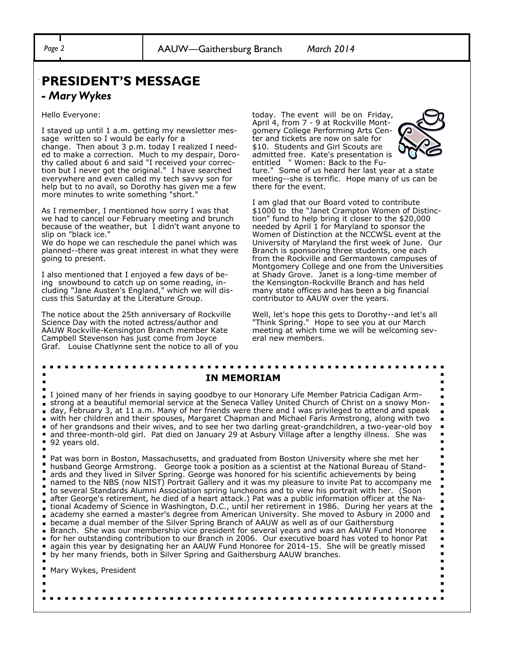## "**PRESIDENT'S MESSAGE**  *- Mary Wykes*

Hello Everyone:

I stayed up until 1 a.m. getting my newsletter message written so I would be early for a change. Then about 3 p.m. today I realized I needed to make a correction. Much to my despair, Dorothy called about 6 and said "I received your correction but I never got the original." I have searched everywhere and even called my tech savvy son for help but to no avail, so Dorothy has given me a few more minutes to write something "short."

As I remember, I mentioned how sorry I was that we had to cancel our February meeting and brunch because of the weather, but I didn't want anyone to slip on "black ice."

We do hope we can reschedule the panel which was planned--there was great interest in what they were going to present.

I also mentioned that I enjoyed a few days of being snowbound to catch up on some reading, including "Jane Austen's England," which we will discuss this Saturday at the Literature Group.

The notice about the 25th anniversary of Rockville Science Day with the noted actress/author and AAUW Rockville-Kensington Branch member Kate Campbell Stevenson has just come from Joyce Graf. Louise Chatlynne sent the notice to all of you today. The event will be on Friday, April 4, from 7 - 9 at Rockville Montgomery College Performing Arts Center and tickets are now on sale for \$10. Students and Girl Scouts are admitted free. Kate's presentation is entitled " Women: Back to the Fu-



ture." Some of us heard her last year at a state meeting--she is terrific. Hope many of us can be there for the event.

I am glad that our Board voted to contribute \$1000 to the "Janet Crampton Women of Distinction" fund to help bring it closer to the \$20,000 needed by April 1 for Maryland to sponsor the Women of Distinction at the NCCWSL event at the University of Maryland the first week of June. Our Branch is sponsoring three students, one each from the Rockville and Germantown campuses of Montgomery College and one from the Universities at Shady Grove. Janet is a long-time member of the Kensington-Rockville Branch and has held many state offices and has been a big financial contributor to AAUW over the years.

Well, let's hope this gets to Dorothy--and let's all "Think Spring." Hope to see you at our March meeting at which time we will be welcoming several new members.

#### **IN MEMORIAM** I joined many of her friends in saying goodbye to our Honorary Life Member Patricia Cadigan Armstrong at a beautiful memorial service at the Seneca Valley United Church of Christ on a snowy Mon- $\blacksquare$ day, February 3, at 11 a.m. Many of her friends were there and I was privileged to attend and speak with her children and their spouses, Margaret Chapman and Michael Faris Armstrong, along with two of her grandsons and their wives, and to see her two darling great-grandchildren, a two-year-old boy  $\blacksquare$ and three-month-old girl. Pat died on January 29 at Asbury Village after a lengthy illness. She was 92 years old. Pat was born in Boston, Massachusetts, and graduated from Boston University where she met her  $\blacksquare$ husband George Armstrong. George took a position as a scientist at the National Bureau of Standards and they lived in Silver Spring. George was honored for his scientific achievements by being named to the NBS (now NIST) Portrait Gallery and it was my pleasure to invite Pat to accompany me to several Standards Alumni Association spring luncheons and to view his portrait with her. (Soon п. after George's retirement, he died of a heart attack.) Pat was a public information officer at the National Academy of Science in Washington, D.C., until her retirement in 1986. During her years at the academy she earned a master's degree from American University. She moved to Asbury in 2000 and became a dual member of the Silver Spring Branch of AAUW as well as of our Gaithersburg Branch. She was our membership vice president for several years and was an AAUW Fund Honoree for her outstanding contribution to our Branch in 2006. Our executive board has voted to honor Pat again this year by designating her an AAUW Fund Honoree for 2014-15. She will be greatly missed by her many friends, both in Silver Spring and Gaithersburg AAUW branches.  $\blacksquare$  $\blacksquare$ Mary Wykes, President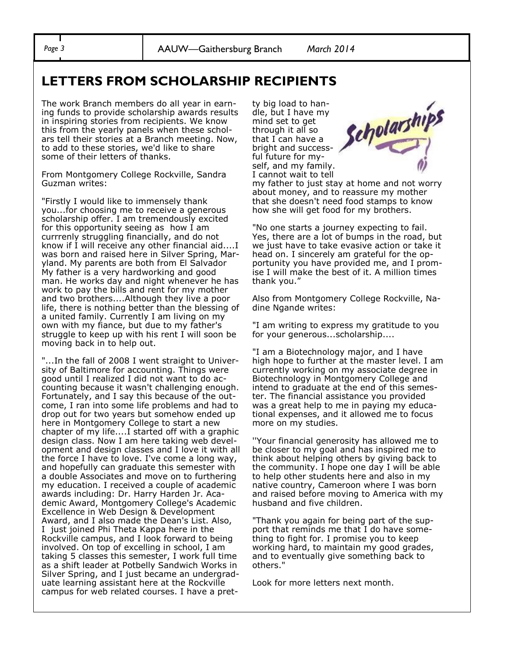## **LETTERS FROM SCHOLARSHIP RECIPIENTS**

The work Branch members do all year in earning funds to provide scholarship awards results in inspiring stories from recipients. We know this from the yearly panels when these scholars tell their stories at a Branch meeting. Now, to add to these stories, we'd like to share some of their letters of thanks.

From Montgomery College Rockville, Sandra Guzman writes:

"Firstly I would like to immensely thank you...for choosing me to receive a generous scholarship offer. I am tremendously excited for this opportunity seeing as how I am currrenly struggling financially, and do not know if I will receive any other financial aid....I was born and raised here in Silver Spring, Maryland. My parents are both from El Salvador My father is a very hardworking and good man. He works day and night whenever he has work to pay the bills and rent for my mother and two brothers....Although they live a poor life, there is nothing better than the blessing of a united family. Currently I am living on my own with my fiance, but due to my father's struggle to keep up with his rent I will soon be moving back in to help out.

"...In the fall of 2008 I went straight to University of Baltimore for accounting. Things were good until I realized I did not want to do accounting because it wasn't challenging enough. Fortunately, and I say this because of the outcome, I ran into some life problems and had to drop out for two years but somehow ended up here in Montgomery College to start a new chapter of my life....I started off with a graphic design class. Now I am here taking web development and design classes and I love it with all the force I have to love. I've come a long way, and hopefully can graduate this semester with a double Associates and move on to furthering my education. I received a couple of academic awards including: Dr. Harry Harden Jr. Academic Award, Montgomery College's Academic Excellence in Web Design & Development Award, and I also made the Dean's List. Also, I just joined Phi Theta Kappa here in the Rockville campus, and I look forward to being involved. On top of excelling in school, I am taking 5 classes this semester, I work full time as a shift leader at Potbelly Sandwich Works in Silver Spring, and I just became an undergraduate learning assistant here at the Rockville campus for web related courses. I have a pretty big load to handle, but I have my mind set to get through it all so that I can have a bright and successful future for myself, and my family. I cannot wait to tell



my father to just stay at home and not worry about money, and to reassure my mother that she doesn't need food stamps to know how she will get food for my brothers.

"No one starts a journey expecting to fail. Yes, there are a lot of bumps in the road, but we just have to take evasive action or take it head on. I sincerely am grateful for the opportunity you have provided me, and I promise I will make the best of it. A million times thank you."

Also from Montgomery College Rockville, Nadine Ngande writes:

"I am writing to express my gratitude to you for your generous...scholarship....

"I am a Biotechnology major, and I have high hope to further at the master level. I am currently working on my associate degree in Biotechnology in Montgomery College and intend to graduate at the end of this semester. The financial assistance you provided was a great help to me in paying my educational expenses, and it allowed me to focus more on my studies.

''Your financial generosity has allowed me to be closer to my goal and has inspired me to think about helping others by giving back to the community. I hope one day I will be able to help other students here and also in my native country, Cameroon where I was born and raised before moving to America with my husband and five children.

"Thank you again for being part of the support that reminds me that I do have something to fight for. I promise you to keep working hard, to maintain my good grades, and to eventually give something back to others."

Look for more letters next month.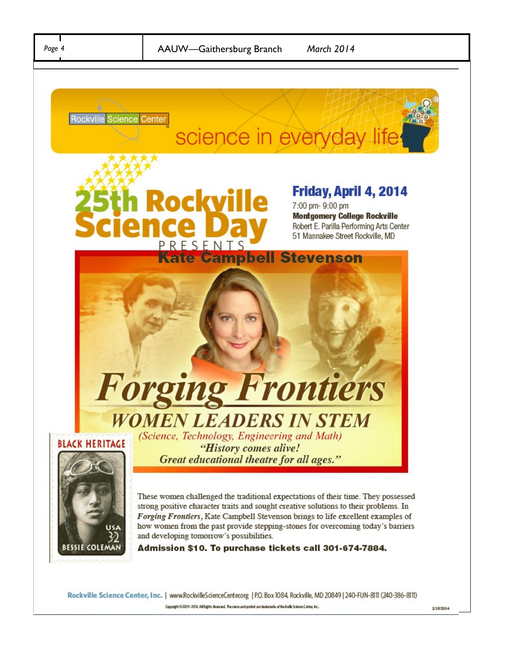**BESSIE COLEMAN** 



strong positive character traits and sought creative solutions to their problems. In Forging Frontiers, Kate Campbell Stevenson brings to life excellent examples of how women from the past provide stepping-stones for overcoming today's barriers and developing tomorrow's possibilities.

Admission \$10. To purchase tickets call 301-674-7884.

Rockville Science Center, Inc. | www.RockvilleScienceCenter.org | P.O.Box 1084, Rockville, MD 20849 | 240-FUN-8111 (240-386-8111) Copyright ©2009-2014, AIR ights Reserved. The name and symbol are taxdemarks of Rockville Science Center, Inc..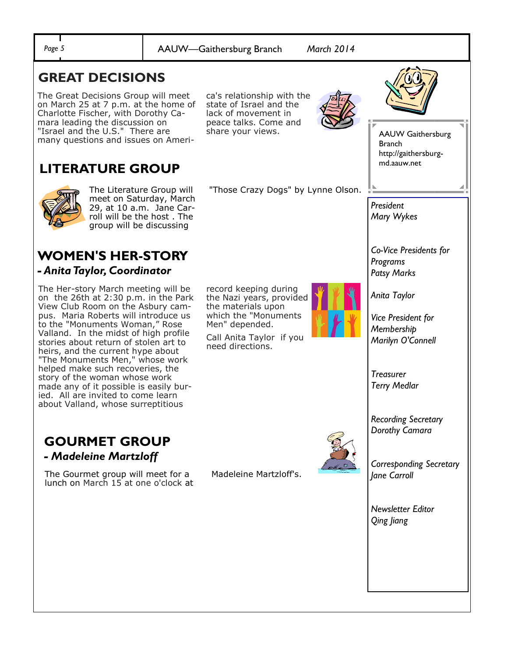

*Treasurer Terry Medlar* 

> *Recording Secretary Dorothy Camara*

*Corresponding Secretary Jane Carroll* 

*Newsletter Editor Qing Jiang*

The Gourmet group will meet for a

Madeleine Martzloff's.

heirs, and the current hype about "The Monuments Men," whose work helped make such recoveries, the story of the woman whose work made any of it possible is easily buried. All are invited to come learn about Valland, whose surreptitious

**GOURMET GROUP** *- Madeleine Martzloff* 

lunch on March 15 at one o'clock at